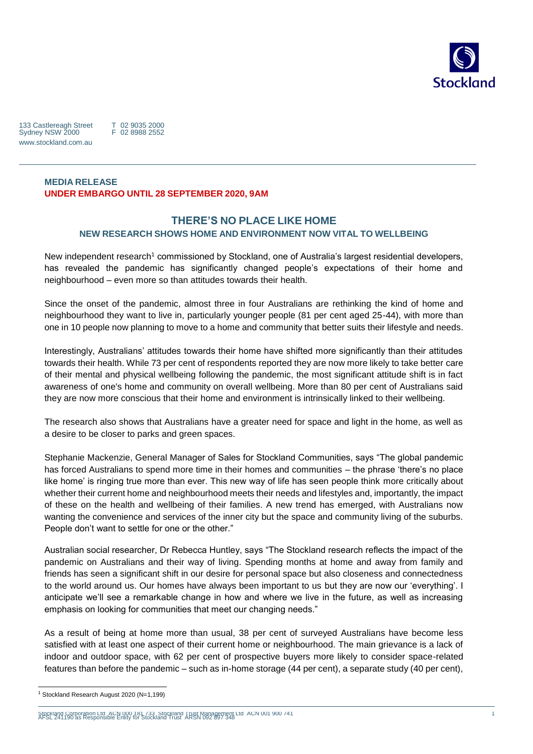

133 Castlereagh Street Sydney NSW 2000 www.stockland.com.au

T 02 9035 2000 F 02 8988 2552

# **MEDIA RELEASE UNDER EMBARGO UNTIL 28 SEPTEMBER 2020, 9AM**

# **THERE'S NO PLACE LIKE HOME NEW RESEARCH SHOWS HOME AND ENVIRONMENT NOW VITAL TO WELLBEING**

New independent research<sup>1</sup> commissioned by Stockland, one of Australia's largest residential developers, has revealed the pandemic has significantly changed people's expectations of their home and neighbourhood – even more so than attitudes towards their health.

Since the onset of the pandemic, almost three in four Australians are rethinking the kind of home and neighbourhood they want to live in, particularly younger people (81 per cent aged 25-44), with more than one in 10 people now planning to move to a home and community that better suits their lifestyle and needs.

Interestingly, Australians' attitudes towards their home have shifted more significantly than their attitudes towards their health. While 73 per cent of respondents reported they are now more likely to take better care of their mental and physical wellbeing following the pandemic, the most significant attitude shift is in fact awareness of one's home and community on overall wellbeing. More than 80 per cent of Australians said they are now more conscious that their home and environment is intrinsically linked to their wellbeing.

The research also shows that Australians have a greater need for space and light in the home, as well as a desire to be closer to parks and green spaces.

Stephanie Mackenzie, General Manager of Sales for Stockland Communities, says "The global pandemic has forced Australians to spend more time in their homes and communities – the phrase 'there's no place like home' is ringing true more than ever. This new way of life has seen people think more critically about whether their current home and neighbourhood meets their needs and lifestyles and, importantly, the impact of these on the health and wellbeing of their families. A new trend has emerged, with Australians now wanting the convenience and services of the inner city but the space and community living of the suburbs. People don't want to settle for one or the other."

Australian social researcher, Dr Rebecca Huntley, says "The Stockland research reflects the impact of the pandemic on Australians and their way of living. Spending months at home and away from family and friends has seen a significant shift in our desire for personal space but also closeness and connectedness to the world around us. Our homes have always been important to us but they are now our 'everything'. I anticipate we'll see a remarkable change in how and where we live in the future, as well as increasing emphasis on looking for communities that meet our changing needs."

As a result of being at home more than usual, 38 per cent of surveyed Australians have become less satisfied with at least one aspect of their current home or neighbourhood. The main grievance is a lack of indoor and outdoor space, with 62 per cent of prospective buyers more likely to consider space-related features than before the pandemic – such as in-home storage (44 per cent), a separate study (40 per cent),

 $\overline{a}$ 

Stockland Corporation Ltd ACN 000 181 733 Stockland Trust Management Ltd ACN 001 900 741 AFSL 241190 as Responsible Entity for Stockland Trust ARSN 092 897 348

<sup>1</sup> Stockland Research August 2020 (N=1,199)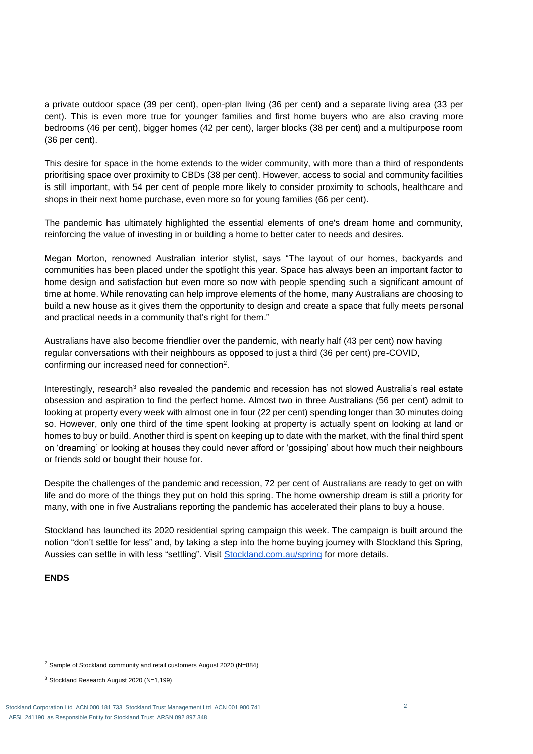a private outdoor space (39 per cent), open-plan living (36 per cent) and a separate living area (33 per cent). This is even more true for younger families and first home buyers who are also craving more bedrooms (46 per cent), bigger homes (42 per cent), larger blocks (38 per cent) and a multipurpose room (36 per cent).

This desire for space in the home extends to the wider community, with more than a third of respondents prioritising space over proximity to CBDs (38 per cent). However, access to social and community facilities is still important, with 54 per cent of people more likely to consider proximity to schools, healthcare and shops in their next home purchase, even more so for young families (66 per cent).

The pandemic has ultimately highlighted the essential elements of one's dream home and community, reinforcing the value of investing in or building a home to better cater to needs and desires.

Megan Morton, renowned Australian interior stylist, says "The layout of our homes, backyards and communities has been placed under the spotlight this year. Space has always been an important factor to home design and satisfaction but even more so now with people spending such a significant amount of time at home. While renovating can help improve elements of the home, many Australians are choosing to build a new house as it gives them the opportunity to design and create a space that fully meets personal and practical needs in a community that's right for them."

Australians have also become friendlier over the pandemic, with nearly half (43 per cent) now having regular conversations with their neighbours as opposed to just a third (36 per cent) pre-COVID, confirming our increased need for connection<sup>2</sup>.

Interestingly, research<sup>3</sup> also revealed the pandemic and recession has not slowed Australia's real estate obsession and aspiration to find the perfect home. Almost two in three Australians (56 per cent) admit to looking at property every week with almost one in four (22 per cent) spending longer than 30 minutes doing so. However, only one third of the time spent looking at property is actually spent on looking at land or homes to buy or build. Another third is spent on keeping up to date with the market, with the final third spent on 'dreaming' or looking at houses they could never afford or 'gossiping' about how much their neighbours or friends sold or bought their house for.

Despite the challenges of the pandemic and recession, 72 per cent of Australians are ready to get on with life and do more of the things they put on hold this spring. The home ownership dream is still a priority for many, with one in five Australians reporting the pandemic has accelerated their plans to buy a house.

Stockland has launched its 2020 residential spring campaign this week. The campaign is built around the notion "don't settle for less" and, by taking a step into the home buying journey with Stockland this Spring, Aussies can settle in with less "settling". Visit [Stockland.com.au/spring](http://stockland.com.au/spring) for more details.

#### **ENDS**

 $\overline{a}$ 

 $2$  Sample of Stockland community and retail customers August 2020 (N=884)

<sup>3</sup> Stockland Research August 2020 (N=1,199)

Stockland Corporation Ltd ACN 000 181 733 Stockland Trust Management Ltd ACN 001 900 741 AFSL 241190 as Responsible Entity for Stockland Trust ARSN 092 897 348